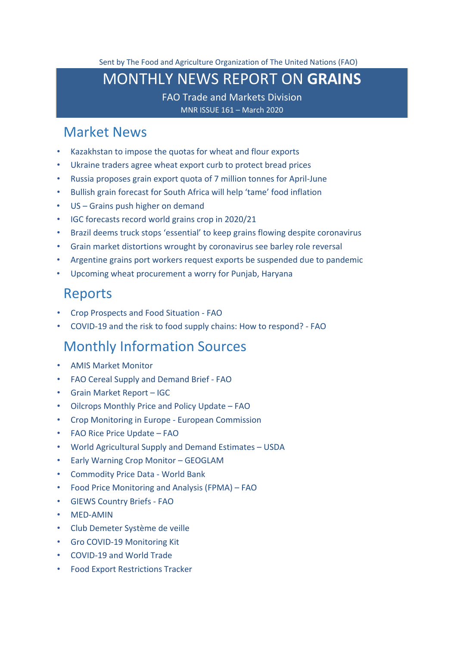<span id="page-0-0"></span>Sent by The Food and Agriculture Organization of The United Nations (FAO)

# MONTHLY NEWS REPORT ON **GRAINS**

FAO Trade and Markets Division MNR ISSUE 161 – March 2020

## [Market News](#page-1-0)

- [Kazakhstan to impose the quotas for wheat and flour exports](#page-1-1)
- [Ukraine traders agree wheat export curb to protect bread prices](#page-1-2)
- [Russia proposes grain export quota of 7 million tonnes for April-June](#page-2-0)
- [Bullish grain forecast for South Africa will help 'tame' food inflation](#page-2-1)
- US [Grains push higher on demand](#page-3-0)
- [IGC forecasts record world grains crop in 2020/21](#page-5-0)
- [Brazil deems truck stops 'essential' to keep grains flowing despite coronavirus](#page-5-1)
- [Grain market distortions wrought by coronavirus see barley role reversal](#page-6-0)
- [Argentine grains port workers request exports be suspended due to pandemic](#page-7-0)
- [Upcoming wheat procurement a worry for Punjab, Haryana](#page-8-0)

### [Reports](#page-9-0)

- Crop Prospects [and Food Situation](#page-9-1) FAO
- [COVID-19 and the risk to food supply chains: How to respond? -](#page-9-2) FAO

### [Monthly Information Sources](#page-9-3)

- [AMIS Market Monitor](http://www.amis-outlook.org/amis-monitoring#.XoMGLIgzZPY)
- [FAO Cereal Supply and Demand Brief -](http://www.fao.org/worldfoodsituation/csdb/en/) FAO
- [Grain Market Report –](http://www.igc.int/downloads/gmrsummary/gmrsumme.pdf) [IGC](http://www.igc.int/downloads/gmrsummary/gmrsumme.pdf)
- [Oilcrops Monthly Price and Policy Update –](http://www.fao.org/economic/est/publications/oilcrops-publications/monthly-price-and-policy-update/en/) FAO
- [Crop Monitoring in Europe -](https://ec.europa.eu/jrc/sites/jrcsh/files/jrc-mars-bulletin-vol28-no3.pdf.pdf) European Commission
- [FAO Rice Price Update –](http://www.fao.org/economic/est/publications/rice-publications/the-fao-rice-price-update/it/) FAO
- [World Agricultural Supply and Demand Estimates –](https://www.usda.gov/oce/commodity/wasde/wasde0320.pdf) USDA
- [Early Warning Crop Monitor –](https://cropmonitor.org/index.php/cmreports/earlywarning-report/) GEOGLAM
- [Commodity Price Data -](http://pubdocs.worldbank.org/en/541851583268074222/CMO-Pink-Sheet-March-2020.pdf) World Bank
- [Food Price Monitoring and Analysis \(FPMA\) –](http://www.fao.org/3/ca8126en/ca8126en.pdf) FAO
- [GIEWS Country Briefs](http://www.fao.org/giews/countrybrief/index.jsp) [-](http://www.fao.org/giews/countrybrief/index.jsp) [FAO](http://www.fao.org/giews/countrybrief/index.jsp)
- [MED-AMIN](https://www.scoop.it/topic/med-amin)
- [Club Demeter Système de veille](https://www.scoop.it/u/club-demeter)
- [Gro COVID-19 Monitoring Kit](https://info.gro-intelligence.com/covidkit)
- [COVID-19 and World Trade](https://www.wto.org/english/tratop_e/covid19_e/covid19_e.htm)
- [Food Export Restrictions Tracker](https://public.tableau.com/profile/laborde6680#!/vizhome/ExportRestrictionsTracker/FoodExportRestrictionsTracker)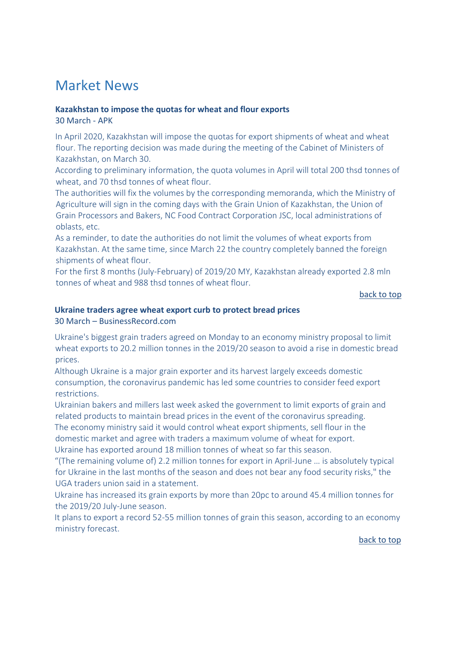# <span id="page-1-0"></span>Market News

#### <span id="page-1-1"></span>**Kazakhstan to impose the quotas for wheat and flour exports** 30 March - APK

In April 2020, Kazakhstan will impose the quotas for export shipments of wheat and wheat flour. The reporting decision was made during the meeting of the Cabinet of Ministers of Kazakhstan, on March 30.

According to preliminary information, the quota volumes in April will total 200 thsd tonnes of wheat, and 70 thsd tonnes of wheat flour.

The authorities will fix the volumes by the corresponding memoranda, which the Ministry of Agriculture will sign in the coming days with the Grain Union of Kazakhstan, the Union of Grain Processors and Bakers, NC Food Contract Corporation JSC, local administrations of oblasts, etc.

As a reminder, to date the authorities do not limit the volumes of wheat exports from Kazakhstan. At the same time, since March 22 the country completely banned the foreign shipments of wheat flour.

For the first 8 months (July-February) of 2019/20 MY, Kazakhstan already exported 2.8 mln tonnes of wheat and 988 thsd tonnes of wheat flour.

[back to top](#page-0-0) 

#### <span id="page-1-2"></span>**Ukraine traders agree wheat export curb to protect bread prices**

#### 30 March – BusinessRecord.com

Ukraine's biggest grain traders agreed on Monday to an economy ministry proposal to limit wheat exports to 20.2 million tonnes in the 2019/20 season to avoid a rise in domestic bread prices.

Although Ukraine is a major grain exporter and its harvest largely exceeds domestic consumption, the coronavirus pandemic has led some countries to consider feed export restrictions.

Ukrainian bakers and millers last week asked the government to limit exports of grain and related products to maintain bread prices in the event of the coronavirus spreading. The economy ministry said it would control wheat export shipments, sell flour in the domestic market and agree with traders a maximum volume of wheat for export. Ukraine has exported around 18 million tonnes of wheat so far this season.

"(The remaining volume of) 2.2 million tonnes for export in April-June … is absolutely typical for Ukraine in the last months of the season and does not bear any food security risks," the UGA traders union said in a statement.

Ukraine has increased its grain exports by more than 20pc to around 45.4 million tonnes for the 2019/20 July-June season.

It plans to export a record 52-55 million tonnes of grain this season, according to an economy ministry forecast.

[back to top](#page-0-0)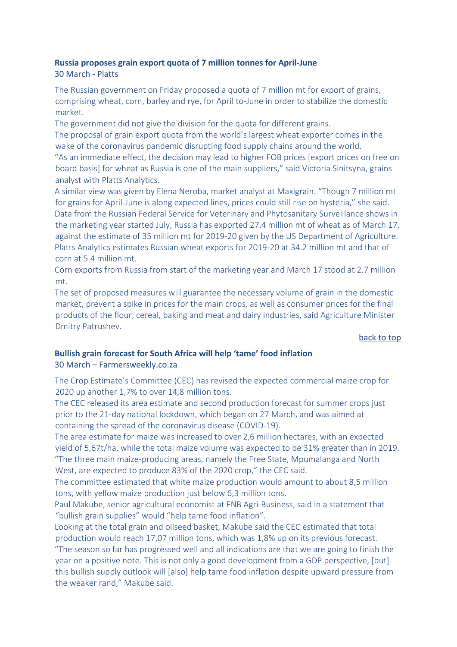#### <span id="page-2-0"></span>**Russia proposes grain export quota of 7 million tonnes for April-June** 30 March - Platts

The Russian government on Friday proposed a quota of 7 million mt for export of grains, comprising wheat, corn, barley and rye, for April to-June in order to stabilize the domestic market.

The government did not give the division for the quota for different grains.

The proposal of grain export quota from the world's largest wheat exporter comes in the wake of the coronavirus pandemic disrupting food supply chains around the world. "As an immediate effect, the decision may lead to higher FOB prices [export prices on free on

board basis] for wheat as Russia is one of the main suppliers," said Victoria Sinitsyna, grains analyst with Platts Analytics.

A similar view was given by Elena Neroba, market analyst at Maxigrain. "Though 7 million mt for grains for April-June is along expected lines, prices could still rise on hysteria," she said. Data from the Russian Federal Service for Veterinary and Phytosanitary Surveillance shows in the marketing year started July, Russia has exported 27.4 million mt of wheat as of March 17, against the estimate of 35 million mt for 2019-20 given by the US Department of Agriculture. Platts Analytics estimates Russian wheat exports for 2019-20 at 34.2 million mt and that of corn at 5.4 million mt.

Corn exports from Russia from start of the marketing year and March 17 stood at 2.7 million mt.

The set of proposed measures will guarantee the necessary volume of grain in the domestic market, prevent a spike in prices for the main crops, as well as consumer prices for the final products of the flour, cereal, baking and meat and dairy industries, said Agriculture Minister Dmitry Patrushev.

#### [back to top](#page-0-0)

#### <span id="page-2-1"></span>**Bullish grain forecast for South Africa will help 'tame' food inflation**  30 March – Farmersweekly.co.za

The Crop Estimate's Committee (CEC) has revised the expected commercial maize crop for 2020 up another 1,7% to over 14,8 million tons.

The CEC released its area estimate and second production forecast for summer crops just prior to the 21-day national lockdown, which began on 27 March, and was aimed at containing the spread of the coronavirus disease (COVID-19).

The area estimate for maize was increased to over 2,6 million hectares, with an expected yield of 5,67t/ha, while the total maize volume was expected to be 31% greater than in 2019. "The three main maize-producing areas, namely the Free State, Mpumalanga and North

West, are expected to produce 83% of the 2020 crop," the CEC said.

The committee estimated that white maize production would amount to about 8,5 million tons, with yellow maize production just below 6,3 million tons.

Paul Makube, senior agricultural economist at FNB Agri-Business, said in a statement that "bullish grain supplies" would "help tame food inflation".

Looking at the total grain and oilseed basket, Makube said the CEC estimated that total production would reach 17,07 million tons, which was 1,8% up on its previous forecast. "The season so far has progressed well and all indications are that we are going to finish the year on a positive note. This is not only a good development from a GDP perspective, [but] this bullish supply outlook will [also] help tame food inflation despite upward pressure from the weaker rand," Makube said.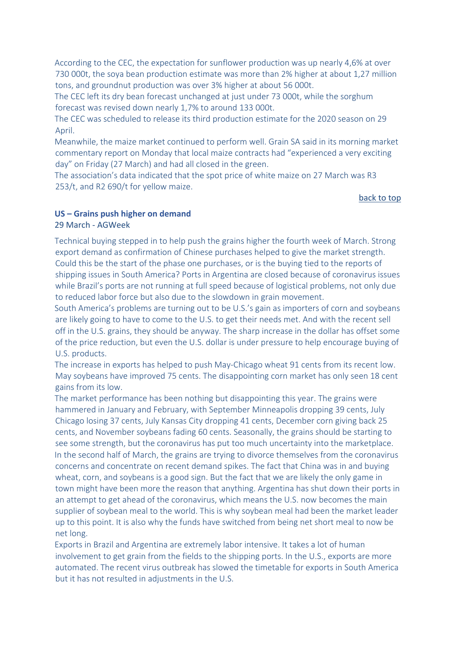According to the CEC, the expectation for sunflower production was up nearly 4,6% at over 730 000t, the soya bean production estimate was more than 2% higher at about 1,27 million tons, and groundnut production was over 3% higher at about 56 000t.

The CEC left its dry bean forecast unchanged at just under 73 000t, while the sorghum forecast was revised down nearly 1,7% to around 133 000t.

The CEC was scheduled to release its third production estimate for the 2020 season on 29 April.

Meanwhile, the maize market continued to perform well. Grain SA said in its morning market commentary report on Monday that local maize contracts had "experienced a very exciting day" on Friday (27 March) and had all closed in the green.

The association's data indicated that the spot price of white maize on 27 March was R3 253/t, and R2 690/t for yellow maize.

#### [back to top](#page-0-0)

#### <span id="page-3-0"></span>**US – Grains push higher on demand**

#### 29 March - AGWeek

Technical buying stepped in to help push the grains higher the fourth week of March. Strong export demand as confirmation of Chinese purchases helped to give the market strength. Could this be the start of the phase one purchases, or is the buying tied to the reports of shipping issues in South America? Ports in Argentina are closed because of coronavirus issues while Brazil's ports are not running at full speed because of logistical problems, not only due to reduced labor force but also due to the slowdown in grain movement.

South America's problems are turning out to be U.S.'s gain as importers of corn and soybeans are likely going to have to come to the U.S. to get their needs met. And with the recent sell off in the U.S. grains, they should be anyway. The sharp increase in the dollar has offset some of the price reduction, but even the U.S. dollar is under pressure to help encourage buying of U.S. products.

The increase in exports has helped to push May-Chicago wheat 91 cents from its recent low. May soybeans have improved 75 cents. The disappointing corn market has only seen 18 cent gains from its low.

The market performance has been nothing but disappointing this year. The grains were hammered in January and February, with September Minneapolis dropping 39 cents, July Chicago losing 37 cents, July Kansas City dropping 41 cents, December corn giving back 25 cents, and November soybeans fading 60 cents. Seasonally, the grains should be starting to see some strength, but the coronavirus has put too much uncertainty into the marketplace. In the second half of March, the grains are trying to divorce themselves from the coronavirus concerns and concentrate on recent demand spikes. The fact that China was in and buying wheat, corn, and soybeans is a good sign. But the fact that we are likely the only game in town might have been more the reason that anything. Argentina has shut down their ports in an attempt to get ahead of the coronavirus, which means the U.S. now becomes the main supplier of soybean meal to the world. This is why soybean meal had been the market leader up to this point. It is also why the funds have switched from being net short meal to now be net long.

Exports in Brazil and Argentina are extremely labor intensive. It takes a lot of human involvement to get grain from the fields to the shipping ports. In the U.S., exports are more automated. The recent virus outbreak has slowed the timetable for exports in South America but it has not resulted in adjustments in the U.S.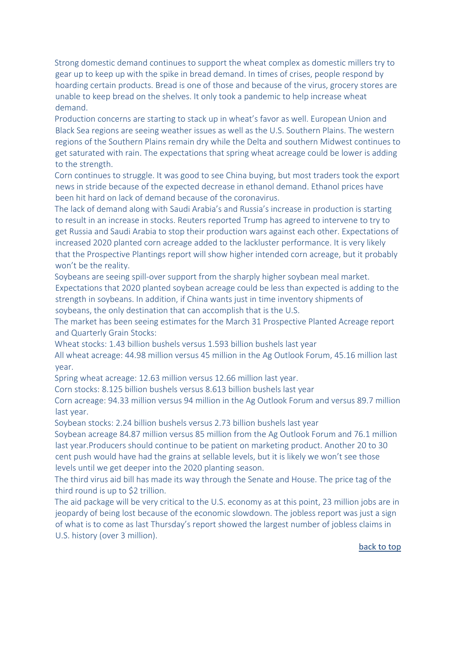Strong domestic demand continues to support the wheat complex as domestic millers try to gear up to keep up with the spike in bread demand. In times of crises, people respond by hoarding certain products. Bread is one of those and because of the virus, grocery stores are unable to keep bread on the shelves. It only took a pandemic to help increase wheat demand.

Production concerns are starting to stack up in wheat's favor as well. European Union and Black Sea regions are seeing weather issues as well as the U.S. Southern Plains. The western regions of the Southern Plains remain dry while the Delta and southern Midwest continues to get saturated with rain. The expectations that spring wheat acreage could be lower is adding to the strength.

Corn continues to struggle. It was good to see China buying, but most traders took the export news in stride because of the expected decrease in ethanol demand. Ethanol prices have been hit hard on lack of demand because of the coronavirus.

The lack of demand along with Saudi Arabia's and Russia's increase in production is starting to result in an increase in stocks. Reuters reported Trump has agreed to intervene to try to get Russia and Saudi Arabia to stop their production wars against each other. Expectations of increased 2020 planted corn acreage added to the lackluster performance. It is very likely that the Prospective Plantings report will show higher intended corn acreage, but it probably won't be the reality.

Soybeans are seeing spill-over support from the sharply higher soybean meal market. Expectations that 2020 planted soybean acreage could be less than expected is adding to the strength in soybeans. In addition, if China wants just in time inventory shipments of soybeans, the only destination that can accomplish that is the U.S.

The market has been seeing estimates for the March 31 Prospective Planted Acreage report and Quarterly Grain Stocks:

Wheat stocks: 1.43 billion bushels versus 1.593 billion bushels last year

All wheat acreage: 44.98 million versus 45 million in the Ag Outlook Forum, 45.16 million last year.

Spring wheat acreage: 12.63 million versus 12.66 million last year.

Corn stocks: 8.125 billion bushels versus 8.613 billion bushels last year

Corn acreage: 94.33 million versus 94 million in the Ag Outlook Forum and versus 89.7 million last year.

Soybean stocks: 2.24 billion bushels versus 2.73 billion bushels last year

Soybean acreage 84.87 million versus 85 million from the Ag Outlook Forum and 76.1 million last year.Producers should continue to be patient on marketing product. Another 20 to 30 cent push would have had the grains at sellable levels, but it is likely we won't see those levels until we get deeper into the 2020 planting season.

The third virus aid bill has made its way through the Senate and House. The price tag of the third round is up to \$2 trillion.

The aid package will be very critical to the U.S. economy as at this point, 23 million jobs are in jeopardy of being lost because of the economic slowdown. The jobless report was just a sign of what is to come as last Thursday's report showed the largest number of jobless claims in U.S. history (over 3 million).

[back to top](#page-0-0)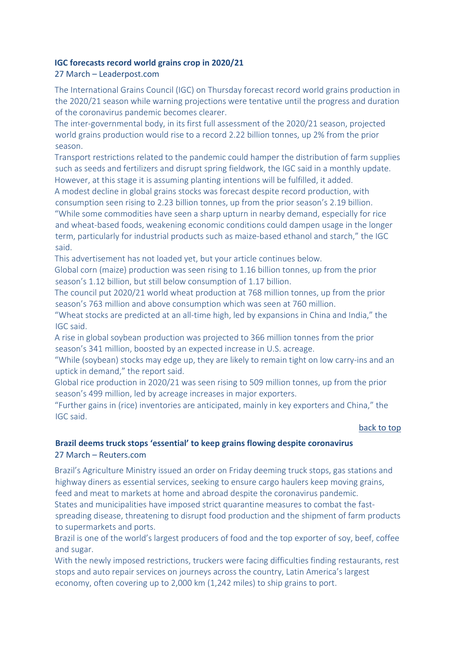#### <span id="page-5-0"></span>**IGC forecasts record world grains crop in 2020/21**

#### 27 March – Leaderpost.com

The International Grains Council (IGC) on Thursday forecast record world grains production in the 2020/21 season while warning projections were tentative until the progress and duration of the coronavirus pandemic becomes clearer.

The inter-governmental body, in its first full assessment of the 2020/21 season, projected world grains production would rise to a record 2.22 billion tonnes, up 2% from the prior season.

Transport restrictions related to the pandemic could hamper the distribution of farm supplies such as seeds and fertilizers and disrupt spring fieldwork, the IGC said in a monthly update. However, at this stage it is assuming planting intentions will be fulfilled, it added.

A modest decline in global grains stocks was forecast despite record production, with consumption seen rising to 2.23 billion tonnes, up from the prior season's 2.19 billion. "While some commodities have seen a sharp upturn in nearby demand, especially for rice and wheat-based foods, weakening economic conditions could dampen usage in the longer term, particularly for industrial products such as maize-based ethanol and starch," the IGC said.

This advertisement has not loaded yet, but your article continues below.

Global corn (maize) production was seen rising to 1.16 billion tonnes, up from the prior season's 1.12 billion, but still below consumption of 1.17 billion.

The council put 2020/21 world wheat production at 768 million tonnes, up from the prior season's 763 million and above consumption which was seen at 760 million.

"Wheat stocks are predicted at an all-time high, led by expansions in China and India," the IGC said.

A rise in global soybean production was projected to 366 million tonnes from the prior season's 341 million, boosted by an expected increase in U.S. acreage.

"While (soybean) stocks may edge up, they are likely to remain tight on low carry-ins and an uptick in demand," the report said.

Global rice production in 2020/21 was seen rising to 509 million tonnes, up from the prior season's 499 million, led by acreage increases in major exporters.

"Further gains in (rice) inventories are anticipated, mainly in key exporters and China," the IGC said.

#### [back to top](#page-0-0)

#### <span id="page-5-1"></span>**Brazil deems truck stops 'essential' to keep grains flowing despite coronavirus** 27 March – Reuters.com

Brazil's Agriculture Ministry issued an order on Friday deeming truck stops, gas stations and highway diners as essential services, seeking to ensure cargo haulers keep moving grains, feed and meat to markets at home and abroad despite the coronavirus pandemic.

States and municipalities have imposed strict quarantine measures to combat the fastspreading disease, threatening to disrupt food production and the shipment of farm products to supermarkets and ports.

Brazil is one of the world's largest producers of food and the top exporter of soy, beef, coffee and sugar.

With the newly imposed restrictions, truckers were facing difficulties finding restaurants, rest stops and auto repair services on journeys across the country, Latin America's largest economy, often covering up to 2,000 km (1,242 miles) to ship grains to port.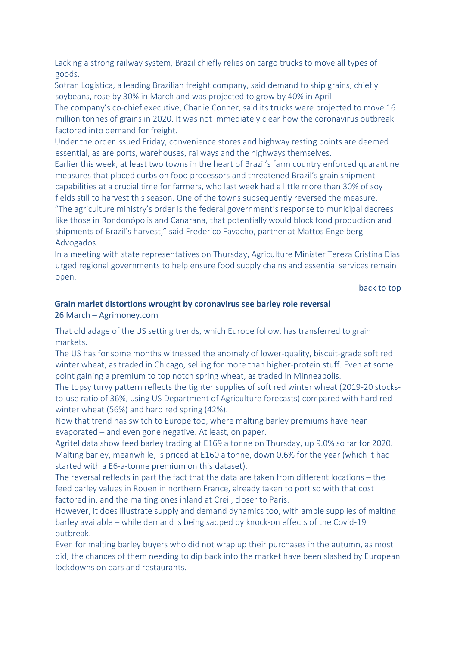Lacking a strong railway system, Brazil chiefly relies on cargo trucks to move all types of goods.

Sotran Logística, a leading Brazilian freight company, said demand to ship grains, chiefly soybeans, rose by 30% in March and was projected to grow by 40% in April.

The company's co-chief executive, Charlie Conner, said its trucks were projected to move 16 million tonnes of grains in 2020. It was not immediately clear how the coronavirus outbreak factored into demand for freight.

Under the order issued Friday, convenience stores and highway resting points are deemed essential, as are ports, warehouses, railways and the highways themselves.

Earlier this week, at least two towns in the heart of Brazil's farm country enforced quarantine measures that placed curbs on food processors and threatened Brazil's grain shipment capabilities at a crucial time for farmers, who last week had a little more than 30% of soy fields still to harvest this season. One of the towns subsequently reversed the measure.

"The agriculture ministry's order is the federal government's response to municipal decrees like those in Rondonópolis and Canarana, that potentially would block food production and shipments of Brazil's harvest," said Frederico Favacho, partner at Mattos Engelberg Advogados.

In a meeting with state representatives on Thursday, Agriculture Minister Tereza Cristina Dias urged regional governments to help ensure food supply chains and essential services remain open.

[back to top](#page-0-0) 

#### <span id="page-6-0"></span>**Grain marlet distortions wrought by coronavirus see barley role reversal** 26 March – Agrimoney.com

That old adage of the US setting trends, which Europe follow, has transferred to grain markets.

The US has for some months witnessed the anomaly of lower-quality, biscuit-grade soft red winter wheat, as traded in Chicago, selling for more than higher-protein stuff. Even at some point gaining a premium to top notch spring wheat, as traded in Minneapolis.

The topsy turvy pattern reflects the tighter supplies of soft red winter wheat (2019-20 stocksto-use ratio of 36%, using US Department of Agriculture forecasts) compared with hard red winter wheat (56%) and hard red spring (42%).

Now that trend has switch to Europe too, where malting barley premiums have near evaporated – and even gone negative. At least, on paper.

Agritel data show feed barley trading at E169 a tonne on Thursday, up 9.0% so far for 2020. Malting barley, meanwhile, is priced at E160 a tonne, down 0.6% for the year (which it had started with a E6-a-tonne premium on this dataset).

The reversal reflects in part the fact that the data are taken from different locations – the feed barley values in Rouen in northern France, already taken to port so with that cost factored in, and the malting ones inland at Creil, closer to Paris.

However, it does illustrate supply and demand dynamics too, with ample supplies of malting barley available – while demand is being sapped by knock-on effects of the Covid-19 outbreak.

Even for malting barley buyers who did not wrap up their purchases in the autumn, as most did, the chances of them needing to dip back into the market have been slashed by European lockdowns on bars and restaurants.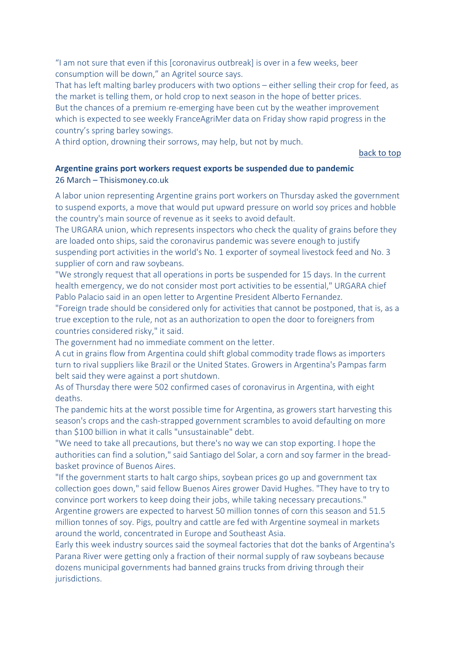"I am not sure that even if this [coronavirus outbreak] is over in a few weeks, beer consumption will be down," an Agritel source says.

That has left malting barley producers with two options – either selling their crop for feed, as the market is telling them, or hold crop to next season in the hope of better prices. But the chances of a premium re-emerging have been cut by the weather improvement which is expected to see weekly FranceAgriMer data on Friday show rapid progress in the country's spring barley sowings.

A third option, drowning their sorrows, may help, but not by much.

[back to top](#page-0-0) 

#### <span id="page-7-0"></span>**Argentine grains port workers request exports be suspended due to pandemic** 26 March – Thisismoney.co.uk

A labor union representing Argentine grains port workers on Thursday asked the government to suspend exports, a move that would put upward pressure on world soy prices and hobble the country's main source of revenue as it seeks to avoid default.

The URGARA union, which represents inspectors who check the quality of grains before they are loaded onto ships, said the coronavirus pandemic was severe enough to justify suspending port activities in the world's No. 1 exporter of soymeal livestock feed and No. 3 supplier of corn and raw soybeans.

"We strongly request that all operations in ports be suspended for 15 days. In the current health emergency, we do not consider most port activities to be essential," URGARA chief Pablo Palacio said in an open letter to Argentine President Alberto Fernandez.

"Foreign trade should be considered only for activities that cannot be postponed, that is, as a true exception to the rule, not as an authorization to open the door to foreigners from countries considered risky," it said.

The government had no immediate comment on the letter.

A cut in grains flow from Argentina could shift global commodity trade flows as importers turn to rival suppliers like Brazil or the United States. Growers in Argentina's Pampas farm belt said they were against a port shutdown.

As of Thursday there were 502 confirmed cases of coronavirus in Argentina, with eight deaths.

The pandemic hits at the worst possible time for Argentina, as growers start harvesting this season's crops and the cash-strapped government scrambles to avoid defaulting on more than \$100 billion in what it calls "unsustainable" debt.

"We need to take all precautions, but there's no way we can stop exporting. I hope the authorities can find a solution," said Santiago del Solar, a corn and soy farmer in the breadbasket province of Buenos Aires.

"If the government starts to halt cargo ships, soybean prices go up and government tax collection goes down," said fellow Buenos Aires grower David Hughes. "They have to try to convince port workers to keep doing their jobs, while taking necessary precautions." Argentine growers are expected to harvest 50 million tonnes of corn this season and 51.5 million tonnes of soy. Pigs, poultry and cattle are fed with Argentine soymeal in markets around the world, concentrated in Europe and Southeast Asia.

Early this week industry sources said the soymeal factories that dot the banks of Argentina's Parana River were getting only a fraction of their normal supply of raw soybeans because dozens municipal governments had banned grains trucks from driving through their jurisdictions.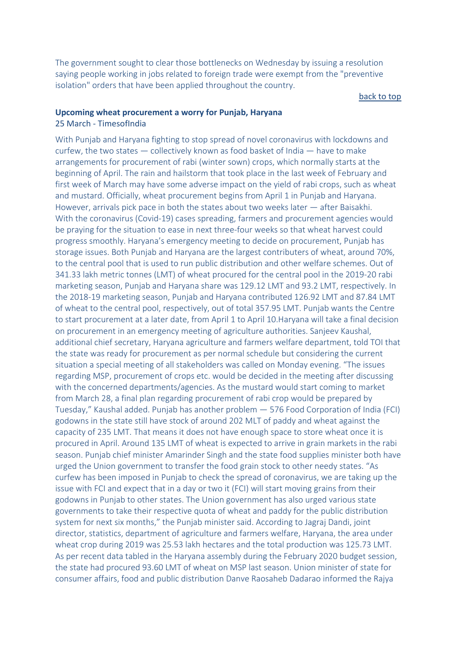The government sought to clear those bottlenecks on Wednesday by issuing a resolution saying people working in jobs related to foreign trade were exempt from the "preventive isolation" orders that have been applied throughout the country.

#### [back to top](#page-0-0)

#### <span id="page-8-0"></span>**Upcoming wheat procurement a worry for Punjab, Haryana** 25 March - TimesofIndia

With Punjab and Haryana fighting to stop spread of novel coronavirus with lockdowns and curfew, the two states — collectively known as food basket of India — have to make arrangements for procurement of rabi (winter sown) crops, which normally starts at the beginning of April. The rain and hailstorm that took place in the last week of February and first week of March may have some adverse impact on the yield of rabi crops, such as wheat and mustard. Officially, wheat procurement begins from April 1 in Punjab and Haryana. However, arrivals pick pace in both the states about two weeks later — after Baisakhi. With the coronavirus (Covid-19) cases spreading, farmers and procurement agencies would be praying for the situation to ease in next three-four weeks so that wheat harvest could progress smoothly. Haryana's emergency meeting to decide on procurement, Punjab has storage issues. Both Punjab and Haryana are the largest contributers of wheat, around 70%, to the central pool that is used to run public distribution and other welfare schemes. Out of 341.33 lakh metric tonnes (LMT) of wheat procured for the central pool in the 2019-20 rabi marketing season, Punjab and Haryana share was 129.12 LMT and 93.2 LMT, respectively. In the 2018-19 marketing season, Punjab and Haryana contributed 126.92 LMT and 87.84 LMT of wheat to the central pool, respectively, out of total 357.95 LMT. Punjab wants the Centre to start procurement at a later date, from April 1 to April 10.Haryana will take a final decision on procurement in an emergency meeting of agriculture authorities. Sanjeev Kaushal, additional chief secretary, Haryana agriculture and farmers welfare department, told TOI that the state was ready for procurement as per normal schedule but considering the current situation a special meeting of all stakeholders was called on Monday evening. "The issues regarding MSP, procurement of crops etc. would be decided in the meeting after discussing with the concerned departments/agencies. As the mustard would start coming to market from March 28, a final plan regarding procurement of rabi crop would be prepared by Tuesday," Kaushal added. Punjab has another problem — 576 Food Corporation of India (FCI) godowns in the state still have stock of around 202 MLT of paddy and wheat against the capacity of 235 LMT. That means it does not have enough space to store wheat once it is procured in April. Around 135 LMT of wheat is expected to arrive in grain markets in the rabi season. Punjab chief minister Amarinder Singh and the state food supplies minister both have urged the Union government to transfer the food grain stock to other needy states. "As curfew has been imposed in Punjab to check the spread of coronavirus, we are taking up the issue with FCI and expect that in a day or two it (FCI) will start moving grains from their godowns in Punjab to other states. The Union government has also urged various state governments to take their respective quota of wheat and paddy for the public distribution system for next six months," the Punjab minister said. According to Jagraj Dandi, joint director, statistics, department of agriculture and farmers welfare, Haryana, the area under wheat crop during 2019 was 25.53 lakh hectares and the total production was 125.73 LMT. As per recent data tabled in the Haryana assembly during the February 2020 budget session, the state had procured 93.60 LMT of wheat on MSP last season. Union minister of state for consumer affairs, food and public distribution Danve Raosaheb Dadarao informed the Rajya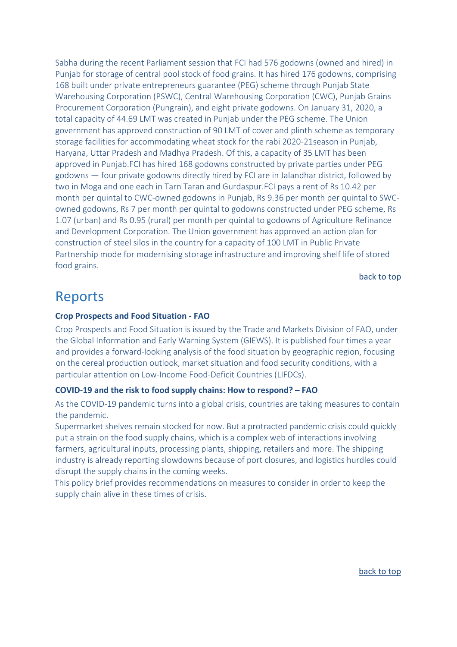Sabha during the recent Parliament session that FCI had 576 godowns (owned and hired) in Punjab for storage of central pool stock of food grains. It has hired 176 godowns, comprising 168 built under private entrepreneurs guarantee (PEG) scheme through Punjab State Warehousing Corporation (PSWC), Central Warehousing Corporation (CWC), Punjab Grains Procurement Corporation (Pungrain), and eight private godowns. On January 31, 2020, a total capacity of 44.69 LMT was created in Punjab under the PEG scheme. The Union government has approved construction of 90 LMT of cover and plinth scheme as temporary storage facilities for accommodating wheat stock for the rabi 2020-21season in Punjab, Haryana, Uttar Pradesh and Madhya Pradesh. Of this, a capacity of 35 LMT has been approved in Punjab.FCI has hired 168 godowns constructed by private parties under PEG godowns — four private godowns directly hired by FCI are in Jalandhar district, followed by two in Moga and one each in Tarn Taran and Gurdaspur.FCI pays a rent of Rs 10.42 per month per quintal to CWC-owned godowns in Punjab, Rs 9.36 per month per quintal to SWCowned godowns, Rs 7 per month per quintal to godowns constructed under PEG scheme, Rs 1.07 (urban) and Rs 0.95 (rural) per month per quintal to godowns of Agriculture Refinance and Development Corporation. The Union government has approved an action plan for construction of steel silos in the country for a capacity of 100 LMT in Public Private Partnership mode for modernising storage infrastructure and improving shelf life of stored food grains.

[back to top](#page-0-0)

# <span id="page-9-0"></span>Reports

#### <span id="page-9-1"></span>**[Crop Prospects and Food Situation -](http://www.fao.org/3/ca8032en/ca8032en.pdf) FAO**

Crop Prospects and Food Situation is issued by the Trade and Markets Division of FAO, under the Global Information and Early Warning System (GIEWS). It is published four times a year and provides a forward-looking analysis of the food situation by geographic region, focusing on the cereal production outlook, market situation and food security conditions, with a particular attention on Low-Income Food-Deficit Countries (LIFDCs).

#### <span id="page-9-2"></span>**[COVID-19 and the risk to food supply chains: How to respond? –](http://www.fao.org/3/ca8388en/CA8388EN.pdf) FAO**

<span id="page-9-3"></span>As the COVID-19 pandemic turns into a global crisis, countries are taking measures to contain the pandemic.

Supermarket shelves remain stocked for now. But a protracted pandemic crisis could quickly put a strain on the food supply chains, which is a complex web of interactions involving farmers, agricultural inputs, processing plants, shipping, retailers and more. The shipping industry is already reporting slowdowns because of port closures, and logistics hurdles could disrupt the supply chains in the coming weeks.

This policy brief provides recommendations on measures to consider in order to keep the supply chain alive in these times of crisis.